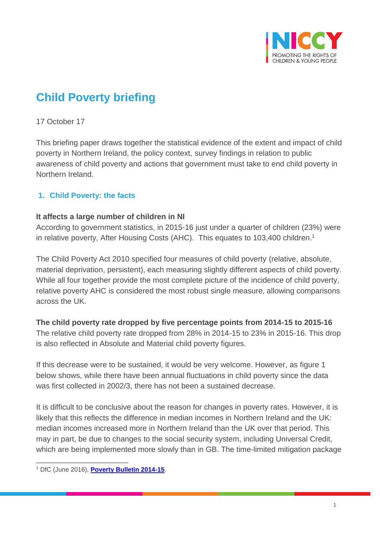

# **Child Poverty briefing**

### 17 October 17

This briefing paper draws together the statistical evidence of the extent and impact of child poverty in Northern Ireland, the policy context, survey findings in relation to public awareness of child poverty and actions that government must take to end child poverty in Northern Ireland.

## **1. Child Poverty: the facts**

#### **It affects a large number of children in NI**

According to government statistics, in 2015-16 just under a quarter of children (23%) were in relative poverty, After Housing Costs (AHC). This equates to 103,400 children.<sup>1</sup>

The Child Poverty Act 2010 specified four measures of child poverty (relative, absolute, material deprivation, persistent), each measuring slightly different aspects of child poverty. While all four together provide the most complete picture of the incidence of child poverty, relative poverty AHC is considered the most robust single measure, allowing comparisons across the UK.

# **The child poverty rate dropped by five percentage points from 2014-15 to 2015-16**

The relative child poverty rate dropped from 28% in 2014-15 to 23% in 2015-16. This drop is also reflected in Absolute and Material child poverty figures.

If this decrease were to be sustained, it would be very welcome. However, as figure 1 below shows, while there have been annual fluctuations in child poverty since the data was first collected in 2002/3, there has not been a sustained decrease.

It is difficult to be conclusive about the reason for changes in poverty rates. However, it is likely that this reflects the difference in median incomes in Northern Ireland and the UK: median incomes increased more in Northern Ireland than the UK over that period. This may in part, be due to changes to the social security system, including Universal Credit, which are being implemented more slowly than in GB. The time-limited mitigation package

 $\overline{a}$ <sup>1</sup> DfC (June 2016), **[Poverty Bulletin 2014-15](https://www.communities-ni.gov.uk/publications/northern-ireland-poverty-bulletin-2014-2015)**.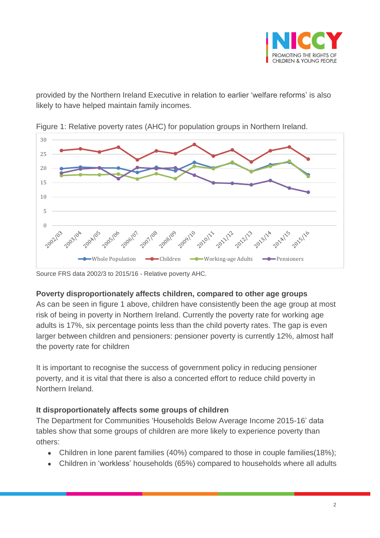

provided by the Northern Ireland Executive in relation to earlier 'welfare reforms' is also likely to have helped maintain family incomes.



Figure 1: Relative poverty rates (AHC) for population groups in Northern Ireland.

Source FRS data 2002/3 to 2015/16 - Relative poverty AHC.

## **Poverty disproportionately affects children, compared to other age groups**

As can be seen in figure 1 above, children have consistently been the age group at most risk of being in poverty in Northern Ireland. Currently the poverty rate for working age adults is 17%, six percentage points less than the child poverty rates. The gap is even larger between children and pensioners: pensioner poverty is currently 12%, almost half the poverty rate for children

It is important to recognise the success of government policy in reducing pensioner poverty, and it is vital that there is also a concerted effort to reduce child poverty in Northern Ireland.

## **It disproportionately affects some groups of children**

The Department for Communities 'Households Below Average Income 2015-16' data tables show that some groups of children are more likely to experience poverty than others:

- Children in lone parent families (40%) compared to those in couple families(18%);
- Children in 'workless' households (65%) compared to households where all adults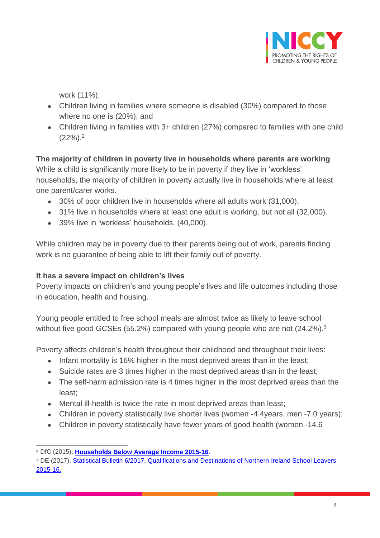

work (11%);

- Children living in families where someone is disabled (30%) compared to those where no one is (20%); and
- Children living in families with 3+ children (27%) compared to families with one child  $(22%)$ .<sup>2</sup>

**The majority of children in poverty live in households where parents are working** While a child is significantly more likely to be in poverty if they live in 'workless' households, the majority of children in poverty actually live in households where at least one parent/carer works.

- 30% of poor children live in households where all adults work (31,000).
- 31% live in households where at least one adult is working, but not all (32,000).
- 39% live in 'workless' households. (40,000).

While children may be in poverty due to their parents being out of work, parents finding work is no guarantee of being able to lift their family out of poverty.

# **It has a severe impact on children's lives**

Poverty impacts on children's and young people's lives and life outcomes including those in education, health and housing.

Young people entitled to free school meals are almost twice as likely to leave school without five good GCSEs (55.2%) compared with young people who are not (24.2%).<sup>3</sup>

Poverty affects children's health throughout their childhood and throughout their lives:

- Infant mortality is 16% higher in the most deprived areas than in the least;
- Suicide rates are 3 times higher in the most deprived areas than in the least;
- The self-harm admission rate is 4 times higher in the most deprived areas than the least;
- Mental ill-health is twice the rate in most deprived areas than least;
- Children in poverty statistically live shorter lives (women -4.4years, men -7.0 years);
- Children in poverty statistically have fewer years of good health (women -14.6

 $\overline{\phantom{a}}$ <sup>2</sup> DfC (2015), **[Households Below Average Income 2015-16](https://www.communities-ni.gov.uk/publications/households-below-average-income-northern-ireland-201415)**.

<sup>&</sup>lt;sup>3</sup> DE (2017), Statistical Bulletin 6/2017, Qualifications and Destinations of Northern Ireland School Leavers [2015-16.](https://www.education-ni.gov.uk/sites/default/files/publications/education/Qualifications%20and%20Destinations%20of%20Northern%20Ireland%20School%20Leavers%20201516.pdf)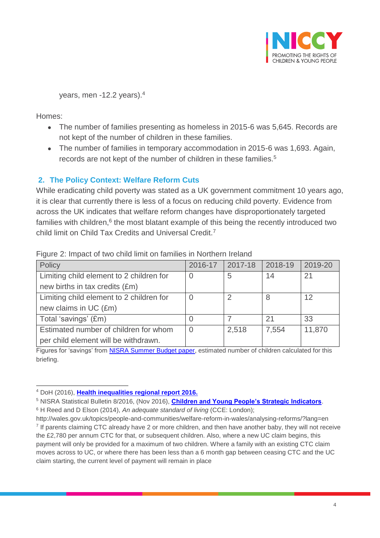

years, men -12.2 years). 4

Homes:

- The number of families presenting as homeless in 2015-6 was 5,645. Records are not kept of the number of children in these families.
- The number of families in temporary accommodation in 2015-6 was 1,693. Again, records are not kept of the number of children in these families.<sup>5</sup>

## **2. The Policy Context: Welfare Reform Cuts**

While eradicating child poverty was stated as a UK government commitment 10 years ago, it is clear that currently there is less of a focus on reducing child poverty. Evidence from across the UK indicates that welfare reform changes have disproportionately targeted families with children,<sup>6</sup> the most blatant example of this being the recently introduced two child limit on Child Tax Credits and Universal Credit.<sup>7</sup>

| Policy                                   | 2016-17 | 2017-18 | 2018-19 | 2019-20 |
|------------------------------------------|---------|---------|---------|---------|
| Limiting child element to 2 children for | 0       | 5       | 14      | 21      |
| new births in tax credits (£m)           |         |         |         |         |
| Limiting child element to 2 children for | 0       | ာ       | 8       | 12      |
| new claims in UC (£m)                    |         |         |         |         |
| Total 'savings' (£m)                     |         |         | 21      | 33      |
| Estimated number of children for whom    | 0       | 2,518   | 7,554   | 11,870  |
| per child element will be withdrawn.     |         |         |         |         |

#### Figure 2: Impact of two child limit on families in Northern Ireland

Figures for 'savings' from [NISRA Summer Budget paper,](file://///Equality.local/root/NICCY-DATA/Staff%20Resources/PROGRAMMES%20OF%20WORK/PROGRAMMES%20OF%20WORK%202017-18/Child%20Poverty%20&%20Welfare%20Reform/WR%20changes/nisra-summer-budget-2015.pdf) estimated number of children calculated for this briefing.

<sup>5</sup> NISRA Statistical Bulletin 8/2016, (Nov 2016), **[Children and Young People's Strategic Indicators](https://www.education-ni.gov.uk/publications/children-and-young-peoples-strategic-indicators-2016-update)**.

<sup>6</sup> H Reed and D Elson (2014), *An adequate standard of living* (CCE: London);

 $\overline{a}$ <sup>4</sup> DoH (2016), **[Health inequalities regional report 2016.](https://www.health-ni.gov.uk/publications/health-inequalities-regional-report-2016)**

http://wales.gov.uk/topics/people-and-communities/welfare-reform-in-wales/analysing-reforms/?lang=en <sup>7</sup> If parents claiming CTC already have 2 or more children, and then have another baby, they will not receive the £2,780 per annum CTC for that, or subsequent children. Also, where a new UC claim begins, this payment will only be provided for a maximum of two children. Where a family with an existing CTC claim moves across to UC, or where there has been less than a 6 month gap between ceasing CTC and the UC claim starting, the current level of payment will remain in place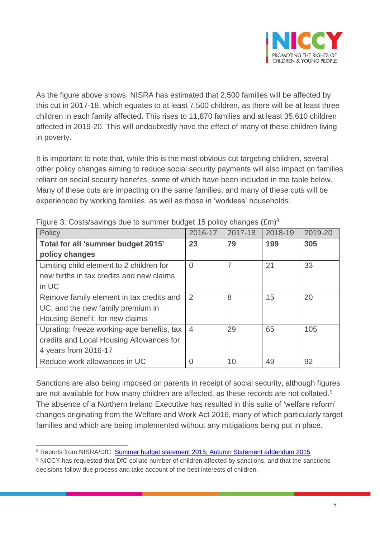

As the figure above shows, NISRA has estimated that 2,500 families will be affected by this cut in 2017-18, which equates to at least 7,500 children, as there will be at least three children in each family affected. This rises to 11,870 families and at least 35,610 children affected in 2019-20. This will undoubtedly have the effect of many of these children living in poverty.

It is important to note that, while this is the most obvious cut targeting children, several other policy changes aiming to reduce social security payments will also impact on families reliant on social security benefits, some of which have been included in the table below. Many of these cuts are impacting on the same families, and many of these cuts will be experienced by working families, as well as those in 'workless' households.

| Policy                                     | 2016-17        | 2017-18 | 2018-19 | 2019-20 |
|--------------------------------------------|----------------|---------|---------|---------|
| Total for all 'summer budget 2015'         | 23             | 79      | 199     | 305     |
| policy changes                             |                |         |         |         |
| Limiting child element to 2 children for   | $\overline{0}$ | 7       | 21      | 33      |
| new births in tax credits and new claims   |                |         |         |         |
| in UC                                      |                |         |         |         |
| Remove family element in tax credits and   | $\overline{2}$ | 8       | 15      | 20      |
| UC, and the new family premium in          |                |         |         |         |
| Housing Benefit, for new claims            |                |         |         |         |
| Uprating: freeze working-age benefits, tax | $\overline{4}$ | 29      | 65      | 105     |
| credits and Local Housing Allowances for   |                |         |         |         |
| 4 years from 2016-17                       |                |         |         |         |
| Reduce work allowances in UC               | $\Omega$       | 10      | 49      | 92      |

Figure 3: Costs/savings due to summer budget 15 policy changes (£m)<sup>8</sup>

Sanctions are also being imposed on parents in receipt of social security, although figures are not available for how many children are affected, as these records are not collated.<sup>9</sup> The absence of a Northern Ireland Executive has resulted in this suite of 'welfare reform' changes originating from the Welfare and Work Act 2016, many of which particularly target families and which are being implemented without any mitigations being put in place.

 $\overline{\phantom{a}}$ <sup>8</sup> Reports from NISRA/DfC: [Summer budget statement 2015;](file://///Equality.local/root/NICCY-DATA/Staff%20Resources/PROGRAMMES%20OF%20WORK/PROGRAMMES%20OF%20WORK%202017-18/Child%20Poverty%20&%20Welfare%20Reform/WR%20changes/nisra-summer-budget-2015.pdf) [Autumn Statement addendum 2015](file://///Equality.local/root/NICCY-DATA/Staff%20Resources/PROGRAMMES%20OF%20WORK/PROGRAMMES%20OF%20WORK%202017-18/Child%20Poverty%20&%20Welfare%20Reform/WR%20changes/autumn-statement-2015-addendum-to-summer-budget-2015.pdf)

<sup>9</sup> NICCY has requested that DfC collate number of children affected by sanctions, and that the sanctions decisions follow due process and take account of the best interests of children.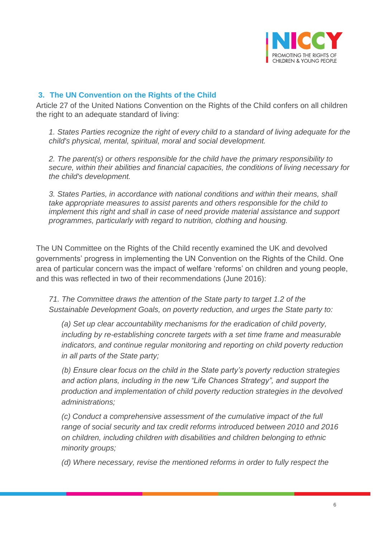

## **3. The UN Convention on the Rights of the Child**

Article 27 of the United Nations Convention on the Rights of the Child confers on all children the right to an adequate standard of living:

*1. States Parties recognize the right of every child to a standard of living adequate for the child's physical, mental, spiritual, moral and social development.*

*2. The parent(s) or others responsible for the child have the primary responsibility to secure, within their abilities and financial capacities, the conditions of living necessary for the child's development.*

*3. States Parties, in accordance with national conditions and within their means, shall take appropriate measures to assist parents and others responsible for the child to implement this right and shall in case of need provide material assistance and support programmes, particularly with regard to nutrition, clothing and housing.*

The UN Committee on the Rights of the Child recently examined the UK and devolved governments' progress in implementing the UN Convention on the Rights of the Child. One area of particular concern was the impact of welfare 'reforms' on children and young people, and this was reflected in two of their recommendations (June 2016):

*71. The Committee draws the attention of the State party to target 1.2 of the Sustainable Development Goals, on poverty reduction, and urges the State party to:* 

*(a) Set up clear accountability mechanisms for the eradication of child poverty, including by re-establishing concrete targets with a set time frame and measurable indicators, and continue regular monitoring and reporting on child poverty reduction in all parts of the State party;* 

*(b) Ensure clear focus on the child in the State party's poverty reduction strategies and action plans, including in the new "Life Chances Strategy", and support the production and implementation of child poverty reduction strategies in the devolved administrations;* 

*(c) Conduct a comprehensive assessment of the cumulative impact of the full range of social security and tax credit reforms introduced between 2010 and 2016 on children, including children with disabilities and children belonging to ethnic minority groups;* 

*(d) Where necessary, revise the mentioned reforms in order to fully respect the*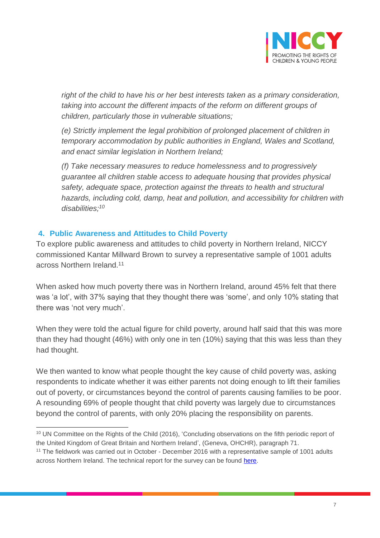

*right of the child to have his or her best interests taken as a primary consideration, taking into account the different impacts of the reform on different groups of children, particularly those in vulnerable situations;* 

*(e) Strictly implement the legal prohibition of prolonged placement of children in temporary accommodation by public authorities in England, Wales and Scotland, and enact similar legislation in Northern Ireland;* 

*(f) Take necessary measures to reduce homelessness and to progressively guarantee all children stable access to adequate housing that provides physical safety, adequate space, protection against the threats to health and structural hazards, including cold, damp, heat and pollution, and accessibility for children with disabilities;<sup>10</sup>*

## **4. Public Awareness and Attitudes to Child Poverty**

To explore public awareness and attitudes to child poverty in Northern Ireland, NICCY commissioned Kantar Millward Brown to survey a representative sample of 1001 adults across Northern Ireland.<sup>11</sup>

When asked how much poverty there was in Northern Ireland, around 45% felt that there was 'a lot', with 37% saying that they thought there was 'some', and only 10% stating that there was 'not very much'.

When they were told the actual figure for child poverty, around half said that this was more than they had thought (46%) with only one in ten (10%) saying that this was less than they had thought.

We then wanted to know what people thought the key cause of child poverty was, asking respondents to indicate whether it was either parents not doing enough to lift their families out of poverty, or circumstances beyond the control of parents causing families to be poor. A resounding 69% of people thought that child poverty was largely due to circumstances beyond the control of parents, with only 20% placing the responsibility on parents.

 $\overline{a}$ <sup>10</sup> UN Committee on the Rights of the Child (2016), 'Concluding observations on the fifth periodic report of the United Kingdom of Great Britain and Northern Ireland', (Geneva, OHCHR), paragraph 71.

<sup>&</sup>lt;sup>11</sup> The fieldwork was carried out in October - December 2016 with a representative sample of 1001 adults across Northern Ireland. The technical report for the survey can be found [here.](http://www.niccy.org/childpoverty)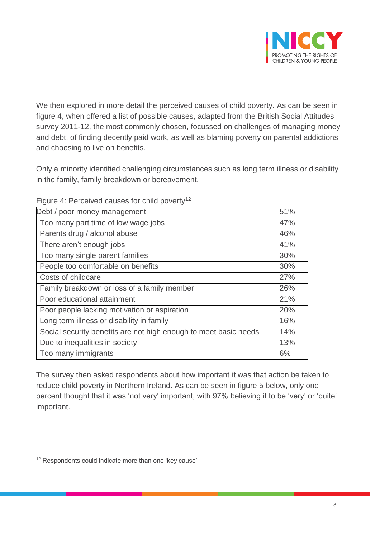

We then explored in more detail the perceived causes of child poverty. As can be seen in figure 4, when offered a list of possible causes, adapted from the British Social Attitudes survey 2011-12, the most commonly chosen, focussed on challenges of managing money and debt, of finding decently paid work, as well as blaming poverty on parental addictions and choosing to live on benefits.

Only a minority identified challenging circumstances such as long term illness or disability in the family, family breakdown or bereavement.

| Debt / poor money management                                     | 51% |
|------------------------------------------------------------------|-----|
| Too many part time of low wage jobs                              | 47% |
| Parents drug / alcohol abuse                                     | 46% |
| There aren't enough jobs                                         | 41% |
| Too many single parent families                                  | 30% |
| People too comfortable on benefits                               | 30% |
| Costs of childcare                                               | 27% |
| Family breakdown or loss of a family member                      | 26% |
| Poor educational attainment                                      | 21% |
| Poor people lacking motivation or aspiration                     | 20% |
| Long term illness or disability in family                        | 16% |
| Social security benefits are not high enough to meet basic needs | 14% |
| Due to inequalities in society                                   | 13% |
| Too many immigrants                                              | 6%  |

Figure 4: Perceived causes for child poverty<sup>12</sup>

The survey then asked respondents about how important it was that action be taken to reduce child poverty in Northern Ireland. As can be seen in figure 5 below, only one percent thought that it was 'not very' important, with 97% believing it to be 'very' or 'quite' important.

 $\overline{a}$ <sup>12</sup> Respondents could indicate more than one 'key cause'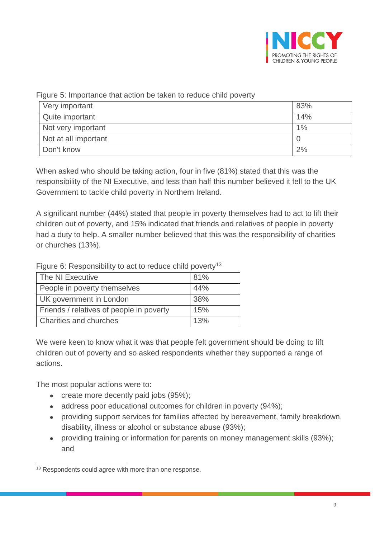

Figure 5: Importance that action be taken to reduce child poverty

| Very important       | 83% |
|----------------------|-----|
| Quite important      | 14% |
| Not very important   | 1%  |
| Not at all important |     |
| Don't know           | 2%  |

When asked who should be taking action, four in five (81%) stated that this was the responsibility of the NI Executive, and less than half this number believed it fell to the UK Government to tackle child poverty in Northern Ireland.

A significant number (44%) stated that people in poverty themselves had to act to lift their children out of poverty, and 15% indicated that friends and relatives of people in poverty had a duty to help. A smaller number believed that this was the responsibility of charities or churches (13%).

Figure 6: Responsibility to act to reduce child poverty<sup>13</sup>

| The NI Executive                         | 81% |
|------------------------------------------|-----|
| People in poverty themselves             | 44% |
| UK government in London                  | 38% |
| Friends / relatives of people in poverty | 15% |
| <b>Charities and churches</b>            | 13% |

We were keen to know what it was that people felt government should be doing to lift children out of poverty and so asked respondents whether they supported a range of actions.

The most popular actions were to:

- create more decently paid jobs (95%);
- address poor educational outcomes for children in poverty (94%);
- providing support services for families affected by bereavement, family breakdown, disability, illness or alcohol or substance abuse (93%);
- providing training or information for parents on money management skills (93%); and

 $\overline{a}$ <sup>13</sup> Respondents could agree with more than one response.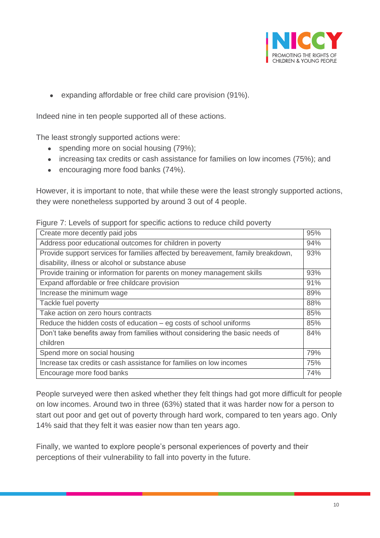

expanding affordable or free child care provision (91%).

Indeed nine in ten people supported all of these actions.

The least strongly supported actions were:

- spending more on social housing (79%);
- increasing tax credits or cash assistance for families on low incomes (75%); and
- encouraging more food banks (74%).

However, it is important to note, that while these were the least strongly supported actions, they were nonetheless supported by around 3 out of 4 people.

| Create more decently paid jobs                                                   | 95% |
|----------------------------------------------------------------------------------|-----|
| Address poor educational outcomes for children in poverty                        | 94% |
| Provide support services for families affected by bereavement, family breakdown, | 93% |
| disability, illness or alcohol or substance abuse                                |     |
| Provide training or information for parents on money management skills           | 93% |
| Expand affordable or free childcare provision                                    | 91% |
| Increase the minimum wage                                                        | 89% |
| Tackle fuel poverty                                                              | 88% |
| Take action on zero hours contracts                                              | 85% |
| Reduce the hidden costs of education $-$ eg costs of school uniforms             | 85% |
| Don't take benefits away from families without considering the basic needs of    | 84% |
| children                                                                         |     |
| Spend more on social housing                                                     | 79% |
| Increase tax credits or cash assistance for families on low incomes              | 75% |
| Encourage more food banks                                                        | 74% |

People surveyed were then asked whether they felt things had got more difficult for people on low incomes. Around two in three (63%) stated that it was harder now for a person to start out poor and get out of poverty through hard work, compared to ten years ago. Only 14% said that they felt it was easier now than ten years ago.

Finally, we wanted to explore people's personal experiences of poverty and their perceptions of their vulnerability to fall into poverty in the future.